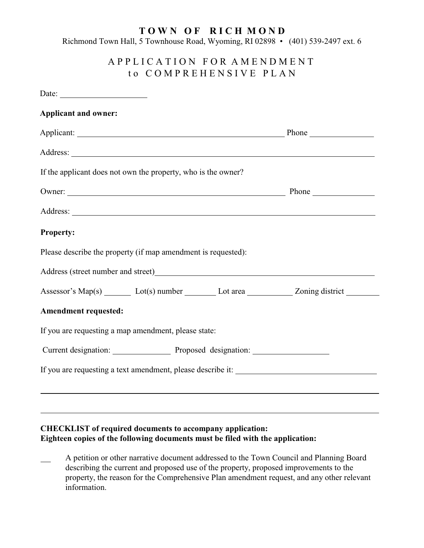## **T O W N O F R I C H M O N D**

Richmond Town Hall, 5 Townhouse Road, Wyoming, RI 02898 • (401) 539-2497 ext. 6

# A P P L I C A T I O N F O R A M E N D M E N T t o C O M P R E H E N S I V E P L A N

| Date:                                                                           |  |                                                                                                                                                                                                                                |
|---------------------------------------------------------------------------------|--|--------------------------------------------------------------------------------------------------------------------------------------------------------------------------------------------------------------------------------|
| <b>Applicant and owner:</b>                                                     |  |                                                                                                                                                                                                                                |
|                                                                                 |  | Applicant: Phone Phone Phone Phone Phone Phone Phone Phone Phone Phone Phone Phone Phone Phone Phone Phone Phone Phone Phone Phone Phone Phone Phone Phone Phone Phone Phone Phone Phone Phone Phone Phone Phone Phone Phone P |
|                                                                                 |  |                                                                                                                                                                                                                                |
| If the applicant does not own the property, who is the owner?                   |  |                                                                                                                                                                                                                                |
|                                                                                 |  | Owner: Phone Phone                                                                                                                                                                                                             |
|                                                                                 |  |                                                                                                                                                                                                                                |
| <b>Property:</b>                                                                |  |                                                                                                                                                                                                                                |
| Please describe the property (if map amendment is requested):                   |  |                                                                                                                                                                                                                                |
| Address (street number and street)<br><u>Address</u> (street number and street) |  |                                                                                                                                                                                                                                |
|                                                                                 |  | Assessor's Map(s) ________ Lot(s) number __________ Lot area ____________ Zoning district _________                                                                                                                            |
| <b>Amendment requested:</b>                                                     |  |                                                                                                                                                                                                                                |
| If you are requesting a map amendment, please state:                            |  |                                                                                                                                                                                                                                |
|                                                                                 |  |                                                                                                                                                                                                                                |
|                                                                                 |  |                                                                                                                                                                                                                                |
|                                                                                 |  |                                                                                                                                                                                                                                |
|                                                                                 |  |                                                                                                                                                                                                                                |

## **CHECKLIST of required documents to accompany application: Eighteen copies of the following documents must be filed with the application:**

 A petition or other narrative document addressed to the Town Council and Planning Board describing the current and proposed use of the property, proposed improvements to the property, the reason for the Comprehensive Plan amendment request, and any other relevant information.